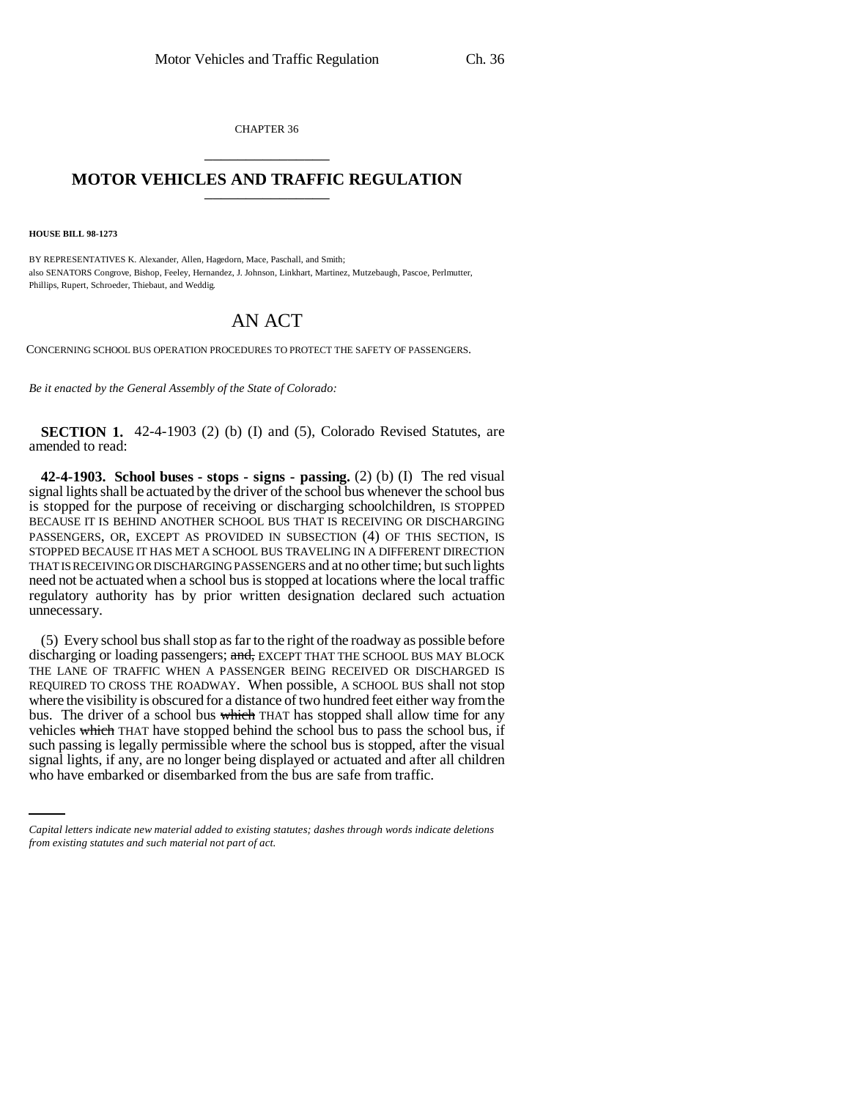CHAPTER 36 \_\_\_\_\_\_\_\_\_\_\_\_\_\_\_

## **MOTOR VEHICLES AND TRAFFIC REGULATION** \_\_\_\_\_\_\_\_\_\_\_\_\_\_\_

**HOUSE BILL 98-1273**

BY REPRESENTATIVES K. Alexander, Allen, Hagedorn, Mace, Paschall, and Smith; also SENATORS Congrove, Bishop, Feeley, Hernandez, J. Johnson, Linkhart, Martinez, Mutzebaugh, Pascoe, Perlmutter, Phillips, Rupert, Schroeder, Thiebaut, and Weddig.

## AN ACT

CONCERNING SCHOOL BUS OPERATION PROCEDURES TO PROTECT THE SAFETY OF PASSENGERS.

*Be it enacted by the General Assembly of the State of Colorado:*

**SECTION 1.** 42-4-1903 (2) (b) (I) and (5), Colorado Revised Statutes, are amended to read:

**42-4-1903. School buses - stops - signs - passing.** (2) (b) (I) The red visual signal lights shall be actuated by the driver of the school bus whenever the school bus is stopped for the purpose of receiving or discharging schoolchildren, IS STOPPED BECAUSE IT IS BEHIND ANOTHER SCHOOL BUS THAT IS RECEIVING OR DISCHARGING PASSENGERS, OR, EXCEPT AS PROVIDED IN SUBSECTION (4) OF THIS SECTION, IS STOPPED BECAUSE IT HAS MET A SCHOOL BUS TRAVELING IN A DIFFERENT DIRECTION THAT IS RECEIVING OR DISCHARGING PASSENGERS and at no other time; but such lights need not be actuated when a school bus is stopped at locations where the local traffic regulatory authority has by prior written designation declared such actuation unnecessary.

such passing is legally permissible where the school bus is stopped, after the visual (5) Every school bus shall stop as far to the right of the roadway as possible before discharging or loading passengers; and, EXCEPT THAT THE SCHOOL BUS MAY BLOCK THE LANE OF TRAFFIC WHEN A PASSENGER BEING RECEIVED OR DISCHARGED IS REQUIRED TO CROSS THE ROADWAY. When possible, A SCHOOL BUS shall not stop where the visibility is obscured for a distance of two hundred feet either way from the bus. The driver of a school bus which THAT has stopped shall allow time for any vehicles which THAT have stopped behind the school bus to pass the school bus, if signal lights, if any, are no longer being displayed or actuated and after all children who have embarked or disembarked from the bus are safe from traffic.

*Capital letters indicate new material added to existing statutes; dashes through words indicate deletions from existing statutes and such material not part of act.*